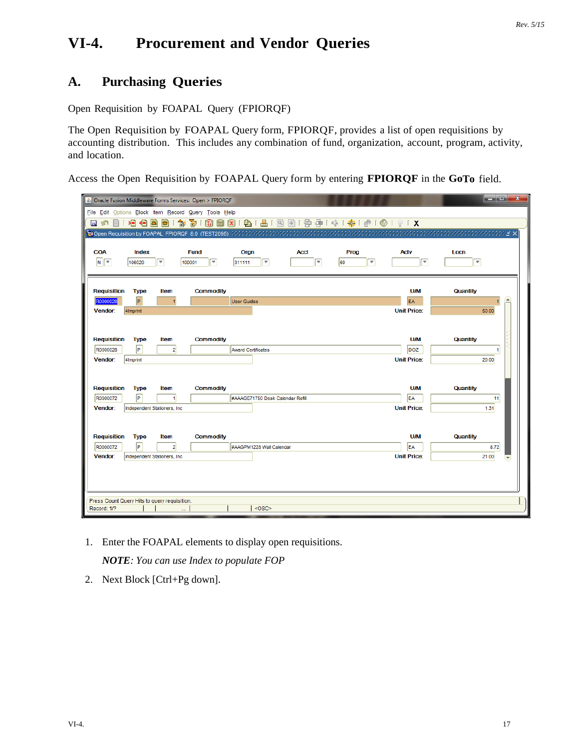# **VI-4. Procurement and Vendor Queries**

## **A. Purchasing Queries**

Open Requisition by FOAPAL Query (FPIORQF)

The Open Requisition by FOAPAL Query form, FPIORQF, provides a list of open requisitions by accounting distribution. This includes any combination of fund, organization, account, program, activity, and location.

Access the Open Requisition by FOAPAL Query form by entering **FPIORQF** in the **GoTo** field.

|                                                             |                |                               | & Oracle Fusion Middleware Forms Services: Open > FPIORQF |                                  |                                  |         |                    | والمردد<br>$\mathbf{x}$ |
|-------------------------------------------------------------|----------------|-------------------------------|-----------------------------------------------------------|----------------------------------|----------------------------------|---------|--------------------|-------------------------|
|                                                             |                |                               | File Edit Options Block Item Record Query Tools Help      |                                  |                                  |         |                    |                         |
| 日の日1泊伯呂曰1                                                   |                | 御                             | 面Ⅰ                                                        |                                  |                                  |         |                    |                         |
|                                                             |                |                               |                                                           |                                  |                                  |         |                    |                         |
|                                                             |                |                               |                                                           |                                  |                                  |         |                    |                         |
| <b>COA</b>                                                  | Index          |                               | <b>Fund</b>                                               | Orgn                             | <b>Acct</b>                      | Prog    | <b>Actv</b>        | Locn                    |
| $N$ $\boxed{\tau}$                                          | 106020         | v                             | $\overline{\mathbf{v}}$<br>100001                         | ۳<br>311111                      | $\boxed{\overline{\phantom{1}}}$ | 60<br>▼ | $\overline{\Psi}$  | Ψ                       |
|                                                             |                |                               |                                                           |                                  |                                  |         |                    |                         |
| <b>Requisition</b>                                          | <b>Type</b>    | <b>Item</b>                   | <b>Commodity</b>                                          |                                  |                                  |         | <b>U/M</b>         | Quantity                |
| R0000028                                                    | $\overline{P}$ |                               |                                                           | <b>User Guides</b>               |                                  |         | <b>EA</b>          | $\blacktriangle$        |
| Vendor:                                                     | 4Imprint       |                               |                                                           |                                  |                                  |         | <b>Unit Price:</b> | 50.00                   |
|                                                             |                |                               |                                                           |                                  |                                  |         |                    |                         |
|                                                             |                |                               |                                                           |                                  |                                  |         |                    |                         |
| <b>Requisition</b>                                          | <b>Type</b>    | <b>Item</b>                   | <b>Commodity</b>                                          |                                  |                                  |         | <b>U/M</b>         | Quantity                |
| R0000028                                                    | $\sqrt{P}$     | $\overline{2}$                |                                                           | <b>Award Certificates</b>        |                                  |         | DOZ                | $\blacktriangleleft$    |
| Vendor:                                                     | 4Imprint       |                               |                                                           |                                  |                                  |         | <b>Unit Price:</b> | 20.00                   |
|                                                             |                |                               |                                                           |                                  |                                  |         |                    |                         |
|                                                             |                |                               |                                                           |                                  |                                  |         |                    |                         |
| <b>Requisition</b>                                          | <b>Type</b>    | <b>Item</b>                   | <b>Commodity</b>                                          |                                  |                                  |         | <b>U/M</b>         | Quantity                |
| R0000072                                                    | ╔              | 1                             |                                                           | #AAAGE71750 Desk Calendar Refill |                                  |         | EA                 | 11                      |
| Vendor:                                                     |                | Independent Stationers, Inc.  |                                                           |                                  |                                  |         | <b>Unit Price:</b> | 1.31                    |
|                                                             |                |                               |                                                           |                                  |                                  |         |                    |                         |
| <b>Requisition</b>                                          | <b>Type</b>    |                               |                                                           |                                  |                                  |         | <b>U/M</b>         | Quantity                |
| R0000072                                                    | $\sqrt{P}$     | <b>Item</b><br>$\overline{2}$ | <b>Commodity</b>                                          | #AAGPM1228 Wall Calendar         |                                  |         | EA                 | 8.72                    |
| Vendor:                                                     |                | Independent Stationers, Inc.  |                                                           |                                  |                                  |         | <b>Unit Price:</b> | 21.00                   |
|                                                             |                |                               |                                                           |                                  |                                  |         |                    |                         |
|                                                             |                |                               |                                                           |                                  |                                  |         |                    |                         |
|                                                             |                |                               |                                                           |                                  |                                  |         |                    |                         |
|                                                             |                |                               |                                                           |                                  |                                  |         |                    |                         |
| Press Count Query Hits to query requisition.<br>Record: 1/? |                |                               |                                                           | <0SC>                            |                                  |         |                    |                         |
|                                                             |                |                               |                                                           |                                  |                                  |         |                    |                         |

1. Enter the FOAPAL elements to display open requisitions.

*NOTE: You can use Index to populate FOP*

2. Next Block [Ctrl+Pg down].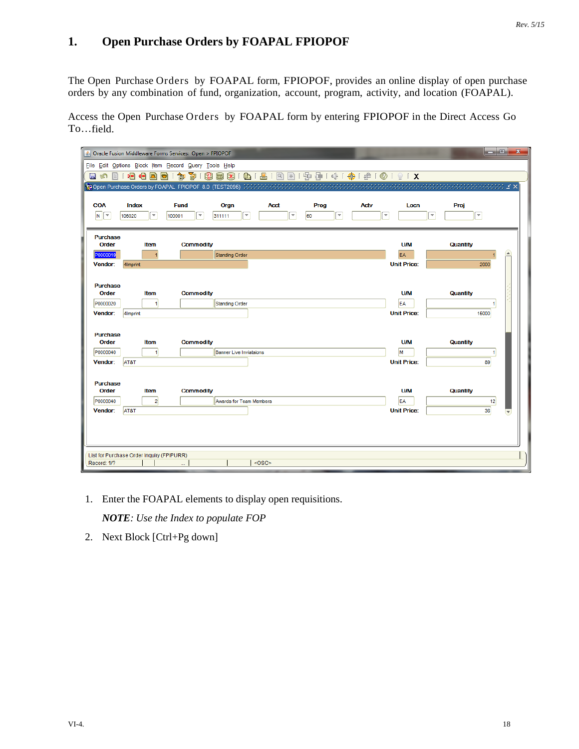### **1. Open Purchase Orders by FOAPAL FPIOPOF**

The Open Purchase Orders by FOAPAL form, FPIOPOF, provides an online display of open purchase orders by any combination of fund, organization, account, program, activity, and location (FOAPAL).

Access the Open Purchase Orders by FOAPAL form by entering FPIOPOF in the Direct Access Go To…field.

|                          |                                           | △ Oracle Fusion Middleware Forms Services: Open > FPIOPOF |                                   |               |         |                          |                                   |                    |                          | ا و ا د                  | $\overline{\mathbf{x}}$ |
|--------------------------|-------------------------------------------|-----------------------------------------------------------|-----------------------------------|---------------|---------|--------------------------|-----------------------------------|--------------------|--------------------------|--------------------------|-------------------------|
|                          |                                           | File Edit Options Block Item Record Query Tools Help      |                                   |               |         |                          |                                   |                    |                          |                          |                         |
| 目め<br>E                  | ⋗⊟<br>日<br>츠                              | 寄<br>匐<br>8<br>Ð                                          | $\bigoplus$<br><b>a</b> x         | 昌<br> Q <br>画 |         |                          | 1 国 雪 1 余 1 争 1 零 1 ® 1 ® 1 ♀ 1 X |                    |                          |                          |                         |
|                          |                                           |                                                           |                                   |               |         |                          |                                   |                    |                          | annan ing ing K          |                         |
|                          |                                           |                                                           |                                   |               |         |                          |                                   |                    |                          |                          |                         |
| <b>COA</b>               | <b>Index</b>                              | <b>Fund</b>                                               | Orgn                              | <b>Acct</b>   | Prog    |                          | <b>Actv</b>                       | Locn               | Proj                     |                          |                         |
| $N$ $\tau$               | $\overline{\phantom{a}}$<br>106020        | $\overline{\mathbf{v}}$<br>100001                         | $\overline{\mathbf{v}}$<br>311111 |               | 60<br>÷ | $\overline{\phantom{a}}$ | $\overline{\mathbf{v}}$           |                    | $\overline{\phantom{a}}$ | $\overline{\phantom{a}}$ |                         |
|                          |                                           |                                                           |                                   |               |         |                          |                                   |                    |                          |                          |                         |
| <b>Purchase</b><br>Order | <b>Item</b>                               | <b>Commodity</b>                                          |                                   |               |         |                          |                                   | <b>U/M</b>         | <b>Quantity</b>          |                          |                         |
| P0000019                 | $\overline{1}$                            |                                                           | Standing Order                    |               |         |                          |                                   | EA                 |                          |                          | $\sim$                  |
| Vendor:                  | 4Imprint                                  |                                                           |                                   |               |         |                          |                                   | <b>Unit Price:</b> |                          | 2000                     |                         |
|                          |                                           |                                                           |                                   |               |         |                          |                                   |                    |                          |                          |                         |
| <b>Purchase</b>          |                                           |                                                           |                                   |               |         |                          |                                   |                    |                          |                          |                         |
| Order                    | <b>Item</b>                               | <b>Commodity</b>                                          |                                   |               |         |                          |                                   | <b>U/M</b>         | <b>Quantity</b>          |                          |                         |
| P0000020                 | $\vert$                                   |                                                           | <b>Standing Order</b>             |               |         |                          |                                   | EA                 |                          | 1                        |                         |
| Vendor:                  | 4Imprint                                  |                                                           |                                   |               |         |                          |                                   | <b>Unit Price:</b> |                          | 15000                    |                         |
|                          |                                           |                                                           |                                   |               |         |                          |                                   |                    |                          |                          |                         |
| <b>Purchase</b><br>Order | <b>Item</b>                               | <b>Commodity</b>                                          |                                   |               |         |                          |                                   | <b>U/M</b>         | Quantity                 |                          |                         |
| P0000040                 | $\vert$                                   |                                                           | Banner Live Inviataions           |               |         |                          |                                   | M                  |                          | 1                        |                         |
| Vendor:                  | AT&T                                      |                                                           |                                   |               |         |                          |                                   | <b>Unit Price:</b> |                          | 89                       |                         |
|                          |                                           |                                                           |                                   |               |         |                          |                                   |                    |                          |                          |                         |
| <b>Purchase</b>          |                                           |                                                           |                                   |               |         |                          |                                   |                    |                          |                          |                         |
| Order                    | <b>Item</b>                               | <b>Commodity</b>                                          |                                   |               |         |                          |                                   | <b>U/M</b>         | <b>Quantity</b>          |                          |                         |
| P0000040                 | $\overline{2}$                            |                                                           | <b>Awards for Team Members</b>    |               |         |                          |                                   | EA                 |                          | 12                       |                         |
| Vendor:                  | AT&T                                      |                                                           |                                   |               |         |                          |                                   | <b>Unit Price:</b> |                          | 36                       |                         |
|                          |                                           |                                                           |                                   |               |         |                          |                                   |                    |                          |                          |                         |
|                          |                                           |                                                           |                                   |               |         |                          |                                   |                    |                          |                          |                         |
|                          |                                           |                                                           |                                   |               |         |                          |                                   |                    |                          |                          |                         |
|                          | List for Purchase Order Inquiry (FPIPURR) |                                                           |                                   |               |         |                          |                                   |                    |                          |                          |                         |
| Record: 1/?              |                                           |                                                           |                                   | <osc></osc>   |         |                          |                                   |                    |                          |                          |                         |

1. Enter the FOAPAL elements to display open requisitions.

*NOTE: Use the Index to populate FOP*

2. Next Block [Ctrl+Pg down]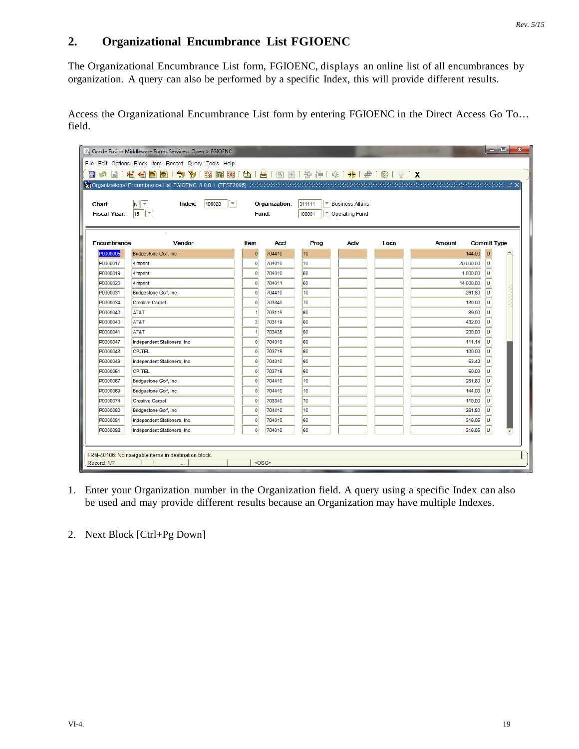#### **2. Organizational Encumbrance List FGIOENC**

The Organizational Encumbrance List form, FGIOENC, displays an online list of all encumbrances by organization. A query can also be performed by a specific Index, this will provide different results.

Access the Organizational Encumbrance List form by entering FGIOENC in the Direct Access Go To… field.

|                     | Oracle Fusion Middleware Forms Services: Open > FGIOENC                                                                                      |                |               |                  |                         |                                                         |               | ا کار دی           |
|---------------------|----------------------------------------------------------------------------------------------------------------------------------------------|----------------|---------------|------------------|-------------------------|---------------------------------------------------------|---------------|--------------------|
|                     | File Edit Options Block Item Record Query Tools Help                                                                                         |                |               |                  |                         |                                                         |               |                    |
| 目<br>目の             | 寄り<br>相相固同门<br>匐                                                                                                                             |                |               |                  |                         | 8 8 8 9 1 8 1 8 1 9 8 1 9 9 1 4 1 4 1 9 1 8 1 8 1 8 1 8 |               |                    |
|                     | <mark>頃 Organizational Encumbrance List FGIOENC 8.0.0.1 (TEST2095</mark> ) かかかかかかかかかかかかかかかかかかかかかかかかかかかかかかい Second State (State State Second) |                |               |                  |                         |                                                         |               |                    |
|                     |                                                                                                                                              |                |               |                  |                         |                                                         |               |                    |
| Chart:              | $\overline{\phantom{0}}$<br>106020<br>M,<br>÷.<br>Index:                                                                                     |                | Organization: | 311111           | <b>Business Affairs</b> |                                                         |               |                    |
| <b>Fiscal Year:</b> | $\overline{\mathbf{v}}$<br>15                                                                                                                | Fund:          |               | 100001           | Operating Fund          |                                                         |               |                    |
|                     |                                                                                                                                              |                |               |                  |                         |                                                         |               |                    |
| Encumbrance         | <b>Vendor</b>                                                                                                                                | Item           | <b>Acct</b>   | Prog             | <b>Actv</b>             | Locn                                                    | <b>Amount</b> | <b>Commit Type</b> |
| <b>P0000005</b>     | Bridgestone Golf, Inc.                                                                                                                       | $\mathbf{0}$   | 704410        | 10               |                         |                                                         | 144.00        | lu                 |
| P0000017            | 4Imprint                                                                                                                                     | $\mathbf{0}$   | 704010        | 10               |                         |                                                         | 20,000.00     | lu.                |
| P0000019            | 4Imprint                                                                                                                                     | $\theta$       | 704010        | 60               |                         |                                                         | 1,000.00      | lu                 |
| P0000020            | 4Imprint                                                                                                                                     | $\mathbf{0}$   | 704011        | 60               |                         |                                                         | 14,000.00     | ΙU                 |
| P0000031            | Bridgestone Golf, Inc.                                                                                                                       | $\theta$       | 704410        | 10               |                         |                                                         | 261.80        | lu                 |
| P0000034            | <b>Creative Carpet</b>                                                                                                                       | $\mathbf{0}$   | 703340        | 70               |                         |                                                         | 130.00        | lu                 |
| P0000040            | AT&T                                                                                                                                         |                | 703119        | 60               |                         |                                                         | 89.00         | lu                 |
| P0000040            | AT&T                                                                                                                                         | $\overline{2}$ | 703119        | 60               |                         |                                                         | 432.00        | IJ                 |
| P0000041            | AT&T                                                                                                                                         |                | 703435        | 50               |                         |                                                         | 200.00        | IJ                 |
| P0000047            | Independent Stationers, Inc.                                                                                                                 | $\Omega$       | 704010        | 60               |                         |                                                         | 111.14        | IJ                 |
| P0000048            | CP-TEL                                                                                                                                       | $\overline{0}$ | 703719        | 60               |                         |                                                         | 100.00        | IJ                 |
| P0000049            | Independent Stationers, Inc.                                                                                                                 | $\mathbf 0$    | 704010        | 60               |                         |                                                         | 53.42         | IJ                 |
| P0000051            | <b>CP-TEL</b>                                                                                                                                | $\overline{0}$ | 703719        | 60               |                         |                                                         | 50.00         | п                  |
| P0000067            | Bridgestone Golf, Inc.                                                                                                                       | $\overline{0}$ | 704410        | 10 <sup>10</sup> |                         |                                                         | 261.80        | Ш                  |
| P0000069            | Bridgestone Golf, Inc.                                                                                                                       | $\mathbf{0}$   | 704410        | 10               |                         |                                                         | 144.00        | п                  |
| P0000074            | <b>Creative Carpet</b>                                                                                                                       | $\mathbf{0}$   | 703340        | 70               |                         |                                                         | 110.00        | lu                 |
| P0000080            | Bridgestone Golf, Inc.                                                                                                                       | $\Omega$       | 704410        | 10               |                         |                                                         | 261.80        | IJ                 |
| P0000081            | Independent Stationers, Inc.                                                                                                                 | $\Omega$       | 704010        | 60               |                         |                                                         | 316.05        | IJ                 |
| P0000082            | Independent Stationers, Inc.                                                                                                                 | $\mathbf{0}$   | 704010        | 60               |                         |                                                         | 316.05        | ΙU                 |
|                     |                                                                                                                                              |                |               |                  |                         |                                                         |               |                    |
|                     |                                                                                                                                              |                |               |                  |                         |                                                         |               |                    |
| Record: 1/?         | FRM-40106: No navigable items in destination block.                                                                                          | $<$ OSC>       |               |                  |                         |                                                         |               |                    |

1. Enter your Organization number in the Organization field. A query using a specific Index can also be used and may provide different results because an Organization may have multiple Indexes.

<sup>2.</sup> Next Block [Ctrl+Pg Down]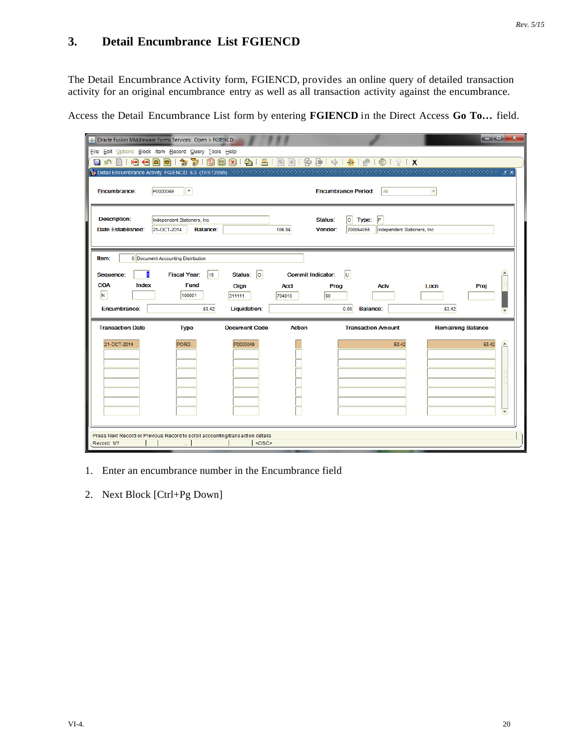### **3. Detail Encumbrance List FGIENCD**

The Detail Encumbrance Activity form, FGIENCD, provides an online query of detailed transaction activity for an original encumbrance entry as well as all transaction activity against the encumbrance.

Access the Detail Encumbrance List form by entering **FGIENCD** in the Direct Access **Go To…** field.

|                                                 | & Oracle Fusion Middleware Forms Services: Open > FGIENCD                     |                      |                              |                                                                 |                          | الكارده<br>$\mathbf{x}$  |
|-------------------------------------------------|-------------------------------------------------------------------------------|----------------------|------------------------------|-----------------------------------------------------------------|--------------------------|--------------------------|
|                                                 | File Edit Options Block Item Record Query Tools Help                          |                      |                              |                                                                 |                          |                          |
| 日め                                              |                                                                               |                      |                              |                                                                 |                          |                          |
|                                                 |                                                                               |                      |                              |                                                                 |                          |                          |
| Encumbrance:                                    | ٠<br>P0000049                                                                 |                      |                              | <b>Encumbrance Period:</b><br>All                               |                          |                          |
| <b>Description:</b><br><b>Date Established:</b> | Independent Stationers, Inc.<br>21-OCT-2014<br><b>Balance:</b>                |                      | Status:<br>106.84<br>Vendor: | $ 0 $ Type:<br>lP.<br>200054055<br>Independent Stationers, Inc. |                          |                          |
| Item:                                           | 0 Document Accounting Distribution                                            |                      |                              |                                                                 |                          |                          |
| Sequence:                                       | <b>Fiscal Year:</b><br>15                                                     | o <br>Status:        | <b>Commit Indicator:</b>     | Ιū                                                              |                          |                          |
| <b>COA</b><br>Index                             | <b>Fund</b>                                                                   | Orgn                 | <b>Acct</b>                  | Prog<br><b>Actv</b>                                             | Locn<br>Proj             |                          |
| N                                               | 100001                                                                        | 311111               | 60<br>704010                 |                                                                 |                          |                          |
| Encumbrance:                                    | 53.42                                                                         | Liquidation:         |                              | 0.00<br><b>Balance:</b>                                         | 53.42                    |                          |
| <b>Transaction Date</b>                         | <b>Type</b>                                                                   | <b>Document Code</b> | <b>Action</b>                | <b>Transaction Amount</b>                                       | <b>Remaining Balance</b> |                          |
| 21-OCT-2014                                     | <b>PORD</b>                                                                   | P0000049             |                              | 53.42                                                           | 53.42                    | D.                       |
|                                                 |                                                                               |                      |                              |                                                                 |                          |                          |
|                                                 |                                                                               |                      |                              |                                                                 |                          |                          |
|                                                 |                                                                               |                      |                              |                                                                 |                          |                          |
|                                                 |                                                                               |                      |                              |                                                                 |                          |                          |
|                                                 |                                                                               |                      |                              |                                                                 |                          |                          |
|                                                 |                                                                               |                      |                              |                                                                 |                          |                          |
|                                                 |                                                                               |                      |                              |                                                                 |                          | $\overline{\phantom{a}}$ |
|                                                 |                                                                               |                      |                              |                                                                 |                          |                          |
| Record: 1/?                                     | Press Next Record or Previous Record to scroll accounting/transaction details | $<$ OSC>             |                              |                                                                 |                          |                          |
|                                                 |                                                                               |                      |                              |                                                                 |                          |                          |

- 1. Enter an encumbrance number in the Encumbrance field
- 2. Next Block [Ctrl+Pg Down]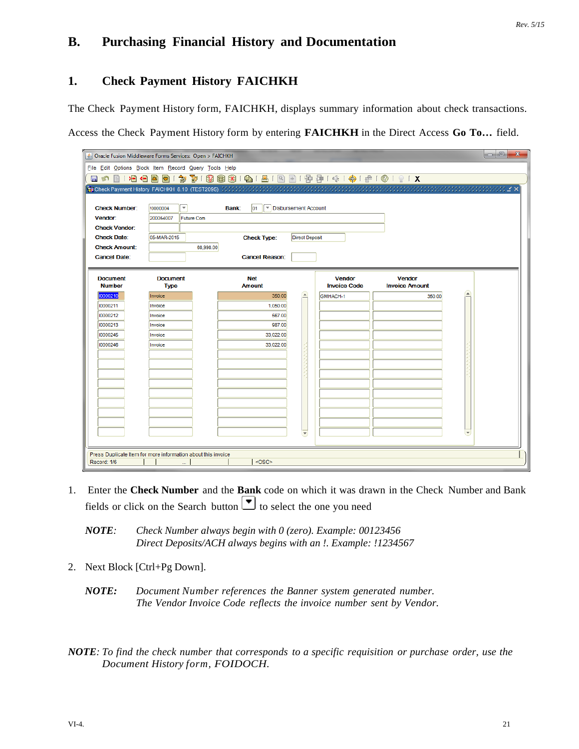### **B. Purchasing Financial History and Documentation**

### **1. Check Payment History FAICHKH**

The Check Payment History form, FAICHKH, displays summary information about check transactions.

Access the Check Payment History form by entering **FAICHKH** in the Direct Access **Go To…** field.

|                                  | Solid Dracle Fusion Middleware Forms Services: Open > FAICHKH |                                                      |                                      |                                        | $\mathbf{x}$<br>$ - 0 $ |
|----------------------------------|---------------------------------------------------------------|------------------------------------------------------|--------------------------------------|----------------------------------------|-------------------------|
|                                  | File Edit Options Block Item Record Query Tools Help          |                                                      |                                      |                                        |                         |
|                                  |                                                               | 日の日1日目目は120日1日1日1日1日1日1日1日 11日1日1日1日1日1日1日1日         |                                      |                                        |                         |
|                                  |                                                               |                                                      |                                      |                                        |                         |
|                                  |                                                               |                                                      |                                      |                                        |                         |
| <b>Check Number:</b>             | $\overline{\phantom{a}}$<br>!0000004                          | Disbursement Account<br>$ 01\rangle$<br><b>Bank:</b> |                                      |                                        |                         |
| Vendor:                          | 200054007<br><b>Future Com</b>                                |                                                      |                                      |                                        |                         |
| <b>Check Vendor:</b>             |                                                               |                                                      |                                      |                                        |                         |
| <b>Check Date:</b>               | 05-MAR-2015                                                   | <b>Check Type:</b>                                   | <b>Direct Deposit</b>                |                                        |                         |
| <b>Check Amount:</b>             | 68,998.00                                                     |                                                      |                                      |                                        |                         |
| <b>Cancel Date:</b>              |                                                               | <b>Cancel Reason:</b>                                |                                      |                                        |                         |
|                                  |                                                               |                                                      |                                      |                                        |                         |
| <b>Document</b><br><b>Number</b> | <b>Document</b><br><b>Type</b>                                | <b>Net</b><br><b>Amount</b>                          | <b>Vendor</b><br><b>Invoice Code</b> | <b>Vendor</b><br><b>Invoice Amount</b> |                         |
| 0000210                          | Invoice                                                       | 350.00                                               | íж.<br>GMHACH-1                      | 350.00                                 |                         |
| 10000211                         | Invoice                                                       | 1,050.00                                             |                                      |                                        |                         |
| 10000212                         | Invoice                                                       | 567.00                                               |                                      |                                        |                         |
| 10000213                         | Invoice                                                       | 987.00                                               |                                      |                                        |                         |
| 10000245                         | Invoice                                                       | 33,022.00                                            |                                      |                                        |                         |
| 10000246                         | Invoice                                                       | 33,022.00                                            |                                      |                                        |                         |
|                                  |                                                               |                                                      |                                      |                                        |                         |
|                                  |                                                               |                                                      |                                      |                                        |                         |
|                                  |                                                               |                                                      |                                      |                                        |                         |
|                                  |                                                               |                                                      |                                      |                                        |                         |
|                                  |                                                               |                                                      |                                      |                                        |                         |
|                                  |                                                               |                                                      |                                      |                                        |                         |
|                                  |                                                               |                                                      |                                      |                                        |                         |
|                                  |                                                               |                                                      | $\vert \nabla \vert$                 |                                        |                         |
|                                  |                                                               |                                                      |                                      |                                        |                         |
|                                  | Press Duplicate Item for more information about this invoice  |                                                      |                                      |                                        |                         |
| Record: 1/6                      |                                                               | $<$ OSC>                                             |                                      |                                        |                         |

1. Enter the **Check Number** and the **Bank** code on which it was drawn in the Check Number and Bank fields or click on the Search button  $\bullet$  to select the one you need

*NOTE: Check Number always begin with 0 (zero). Example: 00123456 Direct Deposits/ACH always begins with an !. Example: !1234567*

- 2. Next Block [Ctrl+Pg Down].
	- *NOTE: Document Number references the Banner system generated number. The Vendor Invoice Code reflects the invoice number sent by Vendor.*

NOTE: To find the check number that corresponds to a specific requisition or purchase order, use the *Document History form, FOIDOCH.*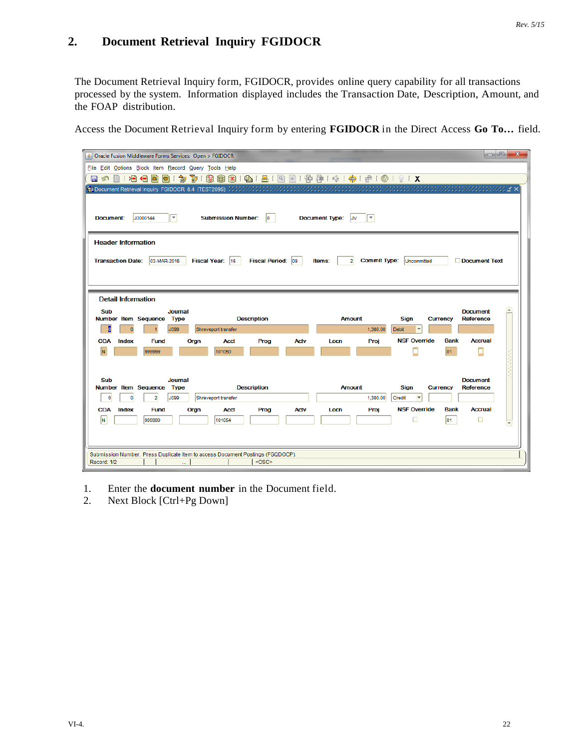### **2. Document Retrieval Inquiry FGIDOCR**

The Document Retrieval Inquiry form, FGIDOCR, provides online query capability for all transactions processed by the system. Information displayed includes the Transaction Date, Description, Amount, and the FOAP distribution.

Access the Document Retrieval Inquiry form by entering **FGIDOCR** in the Direct Access **Go To…** field.

| △ Oracle Fusion Middleware Forms Services: Open > FGIDOCR                                     |                                                      |                                                               |                                                    | $-10$<br>$\mathbf{x}$ |  |  |  |  |  |  |
|-----------------------------------------------------------------------------------------------|------------------------------------------------------|---------------------------------------------------------------|----------------------------------------------------|-----------------------|--|--|--|--|--|--|
|                                                                                               | File Edit Options Block Item Record Query Tools Help |                                                               |                                                    |                       |  |  |  |  |  |  |
| 匐<br>目相相固<br>호)<br>日め                                                                         | 3 19 19 19 14 14 15 17 18 18 18 18 18 18 19 10 10 11 |                                                               |                                                    |                       |  |  |  |  |  |  |
| <b>韓 Document Retrieval Inquiry FGIDOCR 8.4 (TEST2095)</b> かかかかかかかかかかかかかかかかかかかかかかかかかかかかかかかか   |                                                      |                                                               |                                                    |                       |  |  |  |  |  |  |
| J0000144<br>$\overline{\phantom{a}}$<br>Document:                                             | <b>Submission Number:</b><br>lo.                     | <b>Document Type:</b><br>$\overline{\mathbf{v}}$<br><b>JV</b> |                                                    |                       |  |  |  |  |  |  |
|                                                                                               |                                                      |                                                               |                                                    |                       |  |  |  |  |  |  |
| <b>Header Information</b>                                                                     |                                                      |                                                               |                                                    |                       |  |  |  |  |  |  |
| 03-MAR-2015<br><b>Transaction Date:</b>                                                       | Fiscal Year: 15<br>Fiscal Period: 09                 | <b>Commit Type:</b><br>$\overline{2}$<br>Items:               | Uncommitted                                        | Document Text         |  |  |  |  |  |  |
|                                                                                               |                                                      |                                                               |                                                    |                       |  |  |  |  |  |  |
| <b>Detail Information</b>                                                                     |                                                      |                                                               |                                                    |                       |  |  |  |  |  |  |
| Sub<br><b>Journal</b>                                                                         |                                                      |                                                               | <b>Document</b>                                    | ▲                     |  |  |  |  |  |  |
| Number Item Sequence<br><b>Type</b>                                                           | <b>Description</b>                                   | <b>Amount</b>                                                 | <b>Sign</b><br><b>Reference</b><br><b>Currency</b> |                       |  |  |  |  |  |  |
| Б<br>J099<br>$\Omega$                                                                         | Shreveport transfer                                  | 1,380.00                                                      | <b>Debit</b>                                       |                       |  |  |  |  |  |  |
| <b>COA</b><br>Index<br><b>Fund</b><br>Orgn                                                    | Prog<br><b>Actv</b><br><b>Acct</b>                   | Proj<br>Locn                                                  | <b>NSF Override</b><br><b>Bank</b>                 | <b>Accrual</b>        |  |  |  |  |  |  |
| N.<br>999999                                                                                  | 101050                                               |                                                               | 01                                                 |                       |  |  |  |  |  |  |
|                                                                                               |                                                      |                                                               |                                                    |                       |  |  |  |  |  |  |
| <b>Sub</b><br><b>Journal</b>                                                                  |                                                      |                                                               | <b>Document</b>                                    |                       |  |  |  |  |  |  |
| Number Item Sequence<br><b>Type</b>                                                           | <b>Description</b>                                   | <b>Amount</b>                                                 | <b>Sign</b><br><b>Reference</b><br><b>Currency</b> |                       |  |  |  |  |  |  |
| <b>J099</b><br>$\mathbf 0$<br>$\overline{2}$<br>$\mathbf{0}$                                  | Shreveport transfer                                  | 1,380.00                                                      | Credit                                             |                       |  |  |  |  |  |  |
| <b>COA</b><br>Index<br>Orgn<br><b>Fund</b>                                                    | Prog<br><b>Actv</b><br><b>Acct</b>                   | Proj<br>Locn                                                  | <b>NSF Override</b><br><b>Bank</b>                 | <b>Accrual</b>        |  |  |  |  |  |  |
| N<br>999999                                                                                   | 101054                                               |                                                               | 01<br>п                                            | □                     |  |  |  |  |  |  |
|                                                                                               |                                                      |                                                               |                                                    |                       |  |  |  |  |  |  |
|                                                                                               |                                                      |                                                               |                                                    |                       |  |  |  |  |  |  |
| Submission Number. Press Duplicate Item to access Document Postings (FGQDOCP).<br>Record: 1/2 | $<$ OSC>                                             |                                                               |                                                    |                       |  |  |  |  |  |  |
|                                                                                               |                                                      |                                                               |                                                    |                       |  |  |  |  |  |  |

- 1. Enter the **document number** in the Document field.
- 2. Next Block [Ctrl+Pg Down]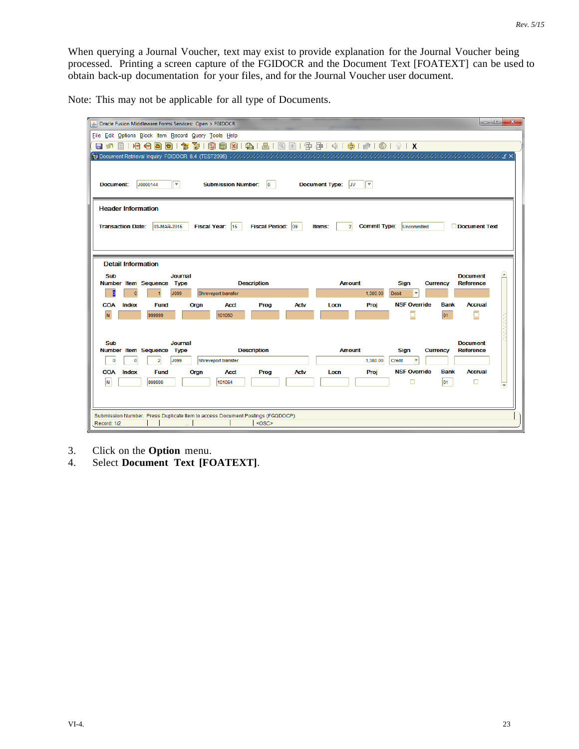When querying a Journal Voucher, text may exist to provide explanation for the Journal Voucher being processed. Printing a screen capture of the FGIDOCR and the Document Text [FOATEXT] can be used to obtain back-up documentation for your files, and for the Journal Voucher user document.

Note: This may not be applicable for all type of Documents.

| $\Box$ e<br>$\mathbf{x}$<br>△ Oracle Fusion Middleware Forms Services: Open > FGIDOCR         |                                                |                                                 |                                                      |  |  |  |  |  |
|-----------------------------------------------------------------------------------------------|------------------------------------------------|-------------------------------------------------|------------------------------------------------------|--|--|--|--|--|
| File Edit Options Block Item Record Query Tools Help                                          |                                                |                                                 |                                                      |  |  |  |  |  |
| 匐<br>12 GB<br>lo)<br>日内<br>E1                                                                 |                                                | 图1雷雷1咪1鲁1●10191X                                |                                                      |  |  |  |  |  |
|                                                                                               |                                                |                                                 |                                                      |  |  |  |  |  |
|                                                                                               |                                                |                                                 |                                                      |  |  |  |  |  |
| J0000144<br>$\overline{\phantom{a}}$<br>Document:                                             | <b>Submission Number:</b><br>lo                | <b>Document Type:</b><br>×,<br><b>JV</b>        |                                                      |  |  |  |  |  |
|                                                                                               |                                                |                                                 |                                                      |  |  |  |  |  |
| <b>Header Information</b>                                                                     |                                                |                                                 |                                                      |  |  |  |  |  |
|                                                                                               |                                                |                                                 |                                                      |  |  |  |  |  |
| 03-MAR-2015<br><b>Transaction Date:</b>                                                       | Fiscal Period: 09<br><b>Fiscal Year:</b><br>15 | <b>Commit Type:</b><br>Items:<br>$\overline{2}$ | <b>Document Text</b><br>Uncommitted                  |  |  |  |  |  |
|                                                                                               |                                                |                                                 |                                                      |  |  |  |  |  |
|                                                                                               |                                                |                                                 |                                                      |  |  |  |  |  |
| <b>Detail Information</b>                                                                     |                                                |                                                 |                                                      |  |  |  |  |  |
| <b>Sub</b><br><b>Journal</b>                                                                  |                                                |                                                 | $\blacktriangle$<br><b>Document</b>                  |  |  |  |  |  |
| Number Item Sequence<br><b>Type</b>                                                           | <b>Description</b>                             | Amount                                          | <b>Reference</b><br><b>Sign</b><br><b>Currency</b>   |  |  |  |  |  |
| b<br>J099<br>$\sqrt{2}$                                                                       | Shreveport transfer                            | 1,380.00                                        | <b>Debit</b>                                         |  |  |  |  |  |
| <b>COA</b><br>Index<br><b>Fund</b><br>Orgn                                                    | <b>Actv</b><br><b>Acct</b><br>Prog             | Locn<br>Proj                                    | <b>NSF Override</b><br><b>Bank</b><br><b>Accrual</b> |  |  |  |  |  |
| N.<br>999999                                                                                  | 101050                                         |                                                 | O<br>01                                              |  |  |  |  |  |
|                                                                                               |                                                |                                                 |                                                      |  |  |  |  |  |
| <b>Sub</b><br><b>Journal</b>                                                                  |                                                |                                                 | <b>Document</b>                                      |  |  |  |  |  |
| Number Item Sequence<br>Type                                                                  | <b>Description</b>                             | <b>Amount</b>                                   | <b>Reference</b><br><b>Sign</b><br><b>Currency</b>   |  |  |  |  |  |
| J099<br>$\overline{0}$<br>$\overline{2}$<br>$\mathbf{0}$                                      | Shreveport transfer                            | 1,380.00                                        | Credit<br>$\overline{\mathbf{v}}$                    |  |  |  |  |  |
| <b>COA</b><br>Index<br><b>Fund</b><br>Orgn                                                    | <b>Acct</b><br>Prog<br>Actv                    | Locn<br>Proj                                    | <b>NSF Override</b><br><b>Accrual</b><br><b>Bank</b> |  |  |  |  |  |
| N.<br>999999                                                                                  | 101054                                         |                                                 | □<br>□<br>lo1                                        |  |  |  |  |  |
|                                                                                               |                                                |                                                 |                                                      |  |  |  |  |  |
|                                                                                               |                                                |                                                 |                                                      |  |  |  |  |  |
| Submission Number. Press Duplicate Item to access Document Postings (FGQDOCP).<br>Record: 1/2 | $<$ OSC>                                       |                                                 |                                                      |  |  |  |  |  |
|                                                                                               |                                                |                                                 |                                                      |  |  |  |  |  |

- 3. Click on the **Option** menu.
- 4. Select **Document Text [FOATEXT]**.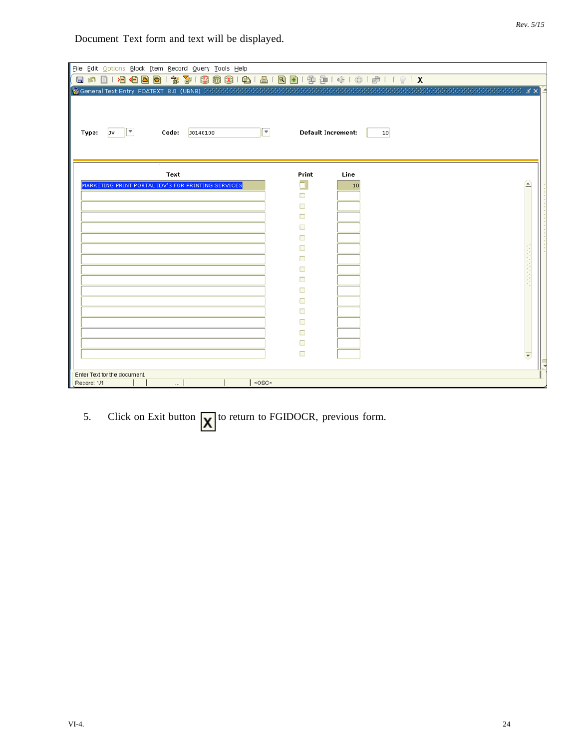Document Text form and text will be displayed.

| 1919000187818381018181019141414141191X<br>昌<br><b>In</b><br>$\boxed{\blacksquare}$<br>$ \cdot $<br><b>Default Increment:</b><br>Code:<br>J0140100<br>JV<br>10<br>Type:<br>Line<br>Text<br>Print<br>MARKETING PRINT PORTAL IDV'S FOR PRINTING SERVICES<br>10<br>□ | File Edit Options Block Item Record Query Tools Help |  |
|------------------------------------------------------------------------------------------------------------------------------------------------------------------------------------------------------------------------------------------------------------------|------------------------------------------------------|--|
|                                                                                                                                                                                                                                                                  |                                                      |  |
|                                                                                                                                                                                                                                                                  |                                                      |  |
|                                                                                                                                                                                                                                                                  |                                                      |  |
|                                                                                                                                                                                                                                                                  |                                                      |  |
|                                                                                                                                                                                                                                                                  |                                                      |  |
|                                                                                                                                                                                                                                                                  |                                                      |  |
|                                                                                                                                                                                                                                                                  |                                                      |  |
|                                                                                                                                                                                                                                                                  |                                                      |  |
|                                                                                                                                                                                                                                                                  |                                                      |  |
|                                                                                                                                                                                                                                                                  |                                                      |  |
|                                                                                                                                                                                                                                                                  |                                                      |  |
|                                                                                                                                                                                                                                                                  |                                                      |  |
|                                                                                                                                                                                                                                                                  |                                                      |  |
|                                                                                                                                                                                                                                                                  |                                                      |  |
|                                                                                                                                                                                                                                                                  |                                                      |  |
|                                                                                                                                                                                                                                                                  |                                                      |  |
|                                                                                                                                                                                                                                                                  |                                                      |  |
|                                                                                                                                                                                                                                                                  |                                                      |  |
|                                                                                                                                                                                                                                                                  |                                                      |  |
|                                                                                                                                                                                                                                                                  |                                                      |  |
|                                                                                                                                                                                                                                                                  |                                                      |  |
|                                                                                                                                                                                                                                                                  |                                                      |  |
|                                                                                                                                                                                                                                                                  |                                                      |  |
|                                                                                                                                                                                                                                                                  |                                                      |  |
|                                                                                                                                                                                                                                                                  |                                                      |  |
| Enter Text for the document.<br><0SC><br>m.                                                                                                                                                                                                                      | Record: 1/1                                          |  |

5. Click on Exit button  $\chi$  to return to FGIDOCR, previous form.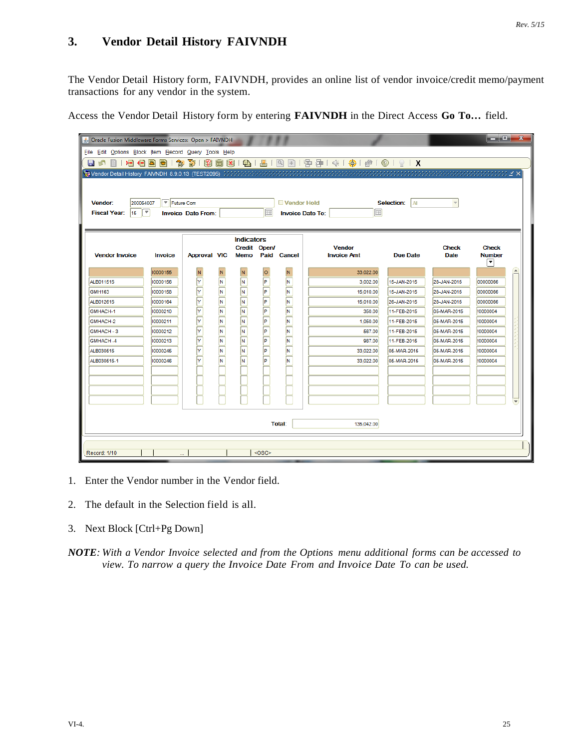### **3. Vendor Detail History FAIVNDH**

The Vendor Detail History form, FAIVNDH, provides an online list of vendor invoice/credit memo/payment transactions for any vendor in the system.

Access the Vendor Detail History form by entering **FAIVNDH** in the Direct Access **Go To…** field.

| الكاردها<br>$\mathbf{x}$<br>Oracle Fusion Middleware Forms Services: Open > FAIVNDH |                |                           |                                    |                                   |          |                         |                                             |                         |              |               |                  |
|-------------------------------------------------------------------------------------|----------------|---------------------------|------------------------------------|-----------------------------------|----------|-------------------------|---------------------------------------------|-------------------------|--------------|---------------|------------------|
| File Edit Options Block Item Record Query Tools Help                                |                |                           |                                    |                                   |          |                         |                                             |                         |              |               |                  |
| 目め                                                                                  |                |                           |                                    |                                   |          |                         | 19190001\$13919881418181819778141414010191X |                         |              |               |                  |
|                                                                                     |                |                           |                                    |                                   |          |                         |                                             |                         |              |               |                  |
|                                                                                     |                |                           |                                    |                                   |          |                         |                                             |                         |              |               |                  |
|                                                                                     |                |                           |                                    |                                   |          |                         |                                             |                         |              |               |                  |
| 200054007<br>Vendor:                                                                | Future Com     |                           |                                    |                                   |          | Vendor Hold             |                                             | Selection:<br><b>AI</b> |              |               |                  |
| $15$ $\sqrt{7}$<br><b>Fiscal Year:</b>                                              |                | <b>Invoice Date From:</b> |                                    |                                   | 匾        |                         | 匾<br><b>Invoice Date To:</b>                |                         |              |               |                  |
|                                                                                     |                |                           |                                    |                                   |          |                         |                                             |                         |              |               |                  |
|                                                                                     |                |                           |                                    |                                   |          |                         |                                             |                         |              |               |                  |
|                                                                                     |                |                           |                                    | <b>Indicators</b><br>Credit Open/ |          |                         | <b>Vendor</b>                               |                         | <b>Check</b> | <b>Check</b>  |                  |
| <b>Vendor Invoice</b>                                                               | <b>Invoice</b> | <b>Approval VIC</b>       |                                    | Memo                              |          | Paid Cancel             | <b>Invoice Amt</b>                          | Due Date                | <b>Date</b>  | <b>Number</b> |                  |
|                                                                                     |                |                           |                                    |                                   |          |                         |                                             |                         |              | ▼             |                  |
|                                                                                     | 10000155       | N                         |                                    |                                   | $\circ$  | N.                      | 33.022.00                                   |                         |              |               | $\blacktriangle$ |
| ALB011515                                                                           | 10000156       | Y                         |                                    | N                                 | P        | N                       | 3.002.00                                    | 15-JAN-2015             | 28-JAN-2015  | 00000066      |                  |
| <b>GMH163</b>                                                                       | 10000158       | Y                         | $\overline{\mathsf{N}}$            | N                                 | ╔        | $\overline{\mathbf{N}}$ | 15,010.00                                   | 15-JAN-2015             | 28-JAN-2015  | 00000066      |                  |
| ALB012615                                                                           | 10000164       | $\overline{\overline{Y}}$ | $\overline{\overline{\bf N}}$      | N                                 | ╔        | N                       | 15,010.00                                   | 26-JAN-2015             | 28-JAN-2015  | 00000066      |                  |
| GMHACH-1                                                                            | 10000210       | ⋤                         | $\overline{\overline{\bf N}}$      | N                                 | ╔        | Ñ                       | 350.00                                      | 11-FEB-2015             | 05-MAR-2015  | !0000004      |                  |
| GMHACH-2                                                                            | 10000211       | Y                         | $\overline{\mathsf{N}}$            | N                                 | P        | Ñ                       | 1,050.00                                    | 11-FEB-2015             | 05-MAR-2015  | 10000004      |                  |
| GMHACH - 3                                                                          | 10000212       | Y                         | $\overline{\overline{\mathsf{N}}}$ | N                                 | P        | $\overline{\mathsf{N}}$ | 567.00                                      | 11-FEB-2015             | 05-MAR-2015  | 10000004      |                  |
| GMHACH-4                                                                            | 10000213       | Y                         |                                    | N                                 | P        | N                       | 987.00                                      | 11-FEB-2015             | 05-MAR-2015  | !0000004      |                  |
| ALB030515                                                                           | 10000245       | ⊺⊽                        |                                    | N                                 | P        | N                       | 33,022.00                                   | 05-MAR-2015             | 05-MAR-2015  | !0000004      |                  |
| ALB030515-1                                                                         | 10000246       | Ÿ                         | $\overline{\mathsf{N}}$            | N                                 | Þ        | Ñ                       | 33,022.00                                   | 05-MAR-2015             | 05-MAR-2015  | !0000004      |                  |
|                                                                                     |                |                           |                                    |                                   |          |                         |                                             |                         |              |               |                  |
|                                                                                     |                |                           |                                    |                                   |          |                         |                                             |                         |              |               |                  |
|                                                                                     |                |                           |                                    |                                   |          |                         |                                             |                         |              |               |                  |
|                                                                                     |                |                           |                                    |                                   |          |                         |                                             |                         |              |               |                  |
|                                                                                     |                |                           |                                    |                                   |          |                         |                                             |                         |              |               |                  |
|                                                                                     |                |                           |                                    |                                   |          | Total:                  | 135,042.00                                  |                         |              |               |                  |
|                                                                                     |                |                           |                                    |                                   |          |                         |                                             |                         |              |               |                  |
|                                                                                     |                |                           |                                    |                                   |          |                         |                                             |                         |              |               |                  |
| Record: 1/10                                                                        |                |                           |                                    |                                   | $<$ OSC> |                         |                                             |                         |              |               |                  |

- 1. Enter the Vendor number in the Vendor field.
- 2. The default in the Selection field is all.
- 3. Next Block [Ctrl+Pg Down]
- *NOTE: With a Vendor Invoice selected and from the Options menu additional forms can be accessed to view. To narrow a query the Invoice Date From and Invoice Date To can be used.*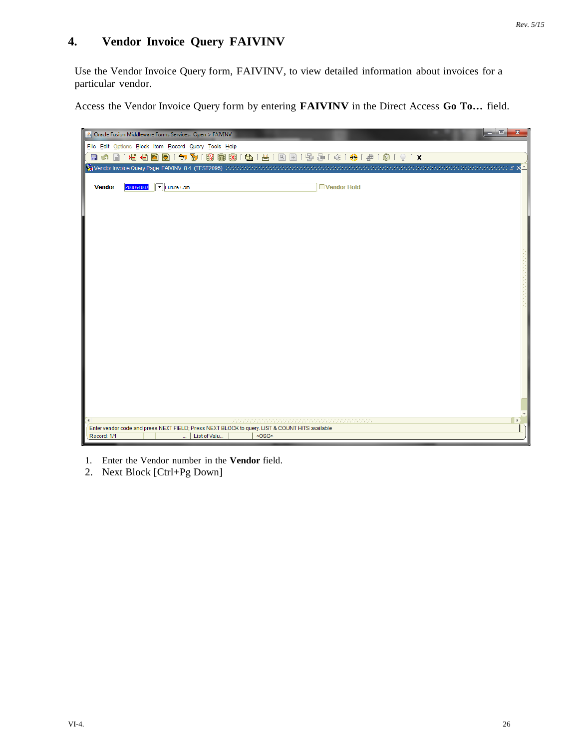### **4. Vendor Invoice Query FAIVINV**

Use the Vendor Invoice Query form, FAIVINV, to view detailed information about invoices for a particular vendor.

Access the Vendor Invoice Query form by entering **FAIVINV** in the Direct Access **Go To…** field.



1. Enter the Vendor number in the **Vendor** field.

2. Next Block [Ctrl+Pg Down]